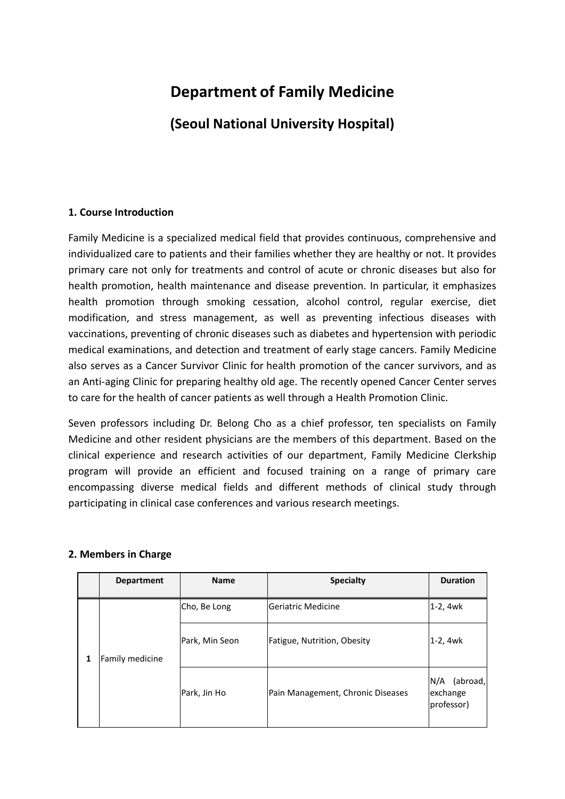# **Department of Family Medicine**

**(Seoul National University Hospital)**

## **1. Course Introduction**

Family Medicine is a specialized medical field that provides continuous, comprehensive and individualized care to patients and their families whether they are healthy or not. It provides primary care not only for treatments and control of acute or chronic diseases but also for health promotion, health maintenance and disease prevention. In particular, it emphasizes health promotion through smoking cessation, alcohol control, regular exercise, diet modification, and stress management, as well as preventing infectious diseases with vaccinations, preventing of chronic diseases such as diabetes and hypertension with periodic medical examinations, and detection and treatment of early stage cancers. Family Medicine also serves as a Cancer Survivor Clinic for health promotion of the cancer survivors, and as an Anti-aging Clinic for preparing healthy old age. The recently opened Cancer Center serves to care for the health of cancer patients as well through a Health Promotion Clinic.

Seven professors including Dr. Belong Cho as a chief professor, ten specialists on Family Medicine and other resident physicians are the members of this department. Based on the clinical experience and research activities of our department, Family Medicine Clerkship program will provide an efficient and focused training on a range of primary care encompassing diverse medical fields and different methods of clinical study through participating in clinical case conferences and various research meetings.

|   | <b>Department</b> | <b>Name</b>    | <b>Specialty</b>                  | <b>Duration</b>                             |
|---|-------------------|----------------|-----------------------------------|---------------------------------------------|
| 1 | Family medicine   | Cho, Be Long   | Geriatric Medicine                | l1-2, 4wk                                   |
|   |                   | Park, Min Seon | Fatigue, Nutrition, Obesity       | l1-2, 4wk                                   |
|   |                   | Park, Jin Ho   | Pain Management, Chronic Diseases | N/A<br>(abroad,  <br>exchange<br>professor) |

## **2. Members in Charge**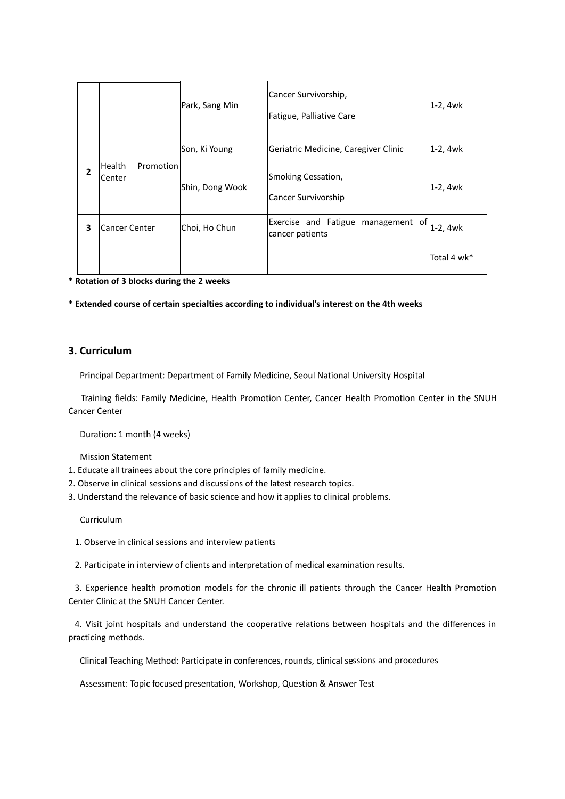|                |                                      | Park, Sang Min  | Cancer Survivorship,<br>Fatigue, Palliative Care      | 1-2, 4wk    |
|----------------|--------------------------------------|-----------------|-------------------------------------------------------|-------------|
| $\overline{2}$ | Health<br>Promotion<br><b>Center</b> | Son, Ki Young   | Geriatric Medicine, Caregiver Clinic                  | 1-2, 4wk    |
|                |                                      | Shin, Dong Wook | Smoking Cessation,<br>Cancer Survivorship             | $1-2, 4wk$  |
| 3              | <b>Cancer Center</b>                 | Choi, Ho Chun   | Exercise and Fatigue management of<br>cancer patients | 1-2, 4wk    |
|                |                                      |                 |                                                       | Total 4 wk* |

**\* Rotation of 3 blocks during the 2 weeks** 

**\* Extended course of certain specialties according to individual's interest on the 4th weeks**

#### **3. Curriculum**

Principal Department: Department of Family Medicine, Seoul National University Hospital

Training fields: Family Medicine, Health Promotion Center, Cancer Health Promotion Center in the SNUH Cancer Center

Duration: 1 month (4 weeks)

**Mission Statement** 

- 1. Educate all trainees about the core principles of family medicine.
- 2. Observe in clinical sessions and discussions of the latest research topics.
- 3. Understand the relevance of basic science and how it applies to clinical problems.

Curriculum

1. Observe in clinical sessions and interview patients

2. Participate in interview of clients and interpretation of medical examination results.

3. Experience health promotion models for the chronic ill patients through the Cancer Health Promotion Center Clinic at the SNUH Cancer Center.

4. Visit joint hospitals and understand the cooperative relations between hospitals and the differences in practicing methods.

Clinical Teaching Method: Participate in conferences, rounds, clinical sessions and procedures

Assessment: Topic focused presentation, Workshop, Question & Answer Test